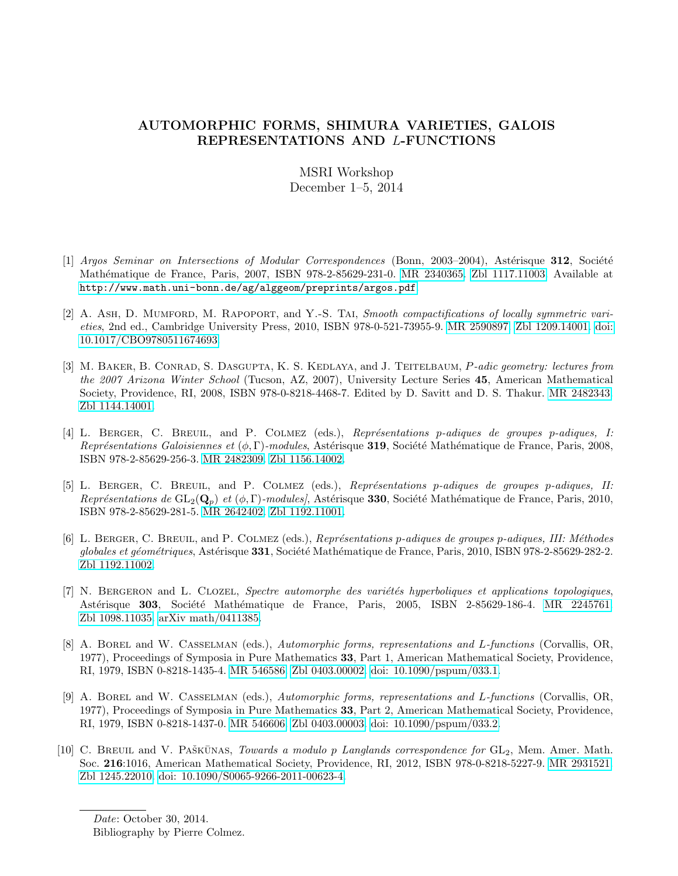## AUTOMORPHIC FORMS, SHIMURA VARIETIES, GALOIS REPRESENTATIONS AND L-FUNCTIONS

## MSRI Workshop December 1–5, 2014

- [1] Argos Seminar on Intersections of Modular Correspondences (Bonn, 2003–2004), Astérisque 312, Société Math´ematique de France, Paris, 2007, ISBN 978-2-85629-231-0. [MR 2340365.](http://www.ams.org/mathscinet-getitem?mr=2340365) [Zbl 1117.11003.](http://www.zbmath.org/?q=an:1117.11003) Available at <http://www.math.uni-bonn.de/ag/alggeom/preprints/argos.pdf>.
- [2] A. Ash, D. Mumford, M. Rapoport, and Y.-S. Tai, Smooth compactifications of locally symmetric varieties, 2nd ed., Cambridge University Press, 2010, ISBN 978-0-521-73955-9. [MR 2590897.](http://www.ams.org/mathscinet-getitem?mr=2590897) [Zbl 1209.14001.](http://www.zbmath.org/?q=an:1209.14001) [doi:](http://dx.doi.org/10.1017/CBO9780511674693) [10.1017/CBO9780511674693.](http://dx.doi.org/10.1017/CBO9780511674693)
- [3] M. BAKER, B. CONRAD, S. DASGUPTA, K. S. KEDLAYA, and J. TEITELBAUM, P-adic geometry: lectures from the 2007 Arizona Winter School (Tucson, AZ, 2007), University Lecture Series 45, American Mathematical Society, Providence, RI, 2008, ISBN 978-0-8218-4468-7. Edited by D. Savitt and D. S. Thakur. [MR 2482343.](http://www.ams.org/mathscinet-getitem?mr=2482343) [Zbl 1144.14001.](http://www.zbmath.org/?q=an:1144.14001)
- [4] L. BERGER, C. BREUIL, and P. COLMEZ (eds.), Représentations p-adiques de groupes p-adiques, I: Représentations Galoisiennes et  $(\phi, \Gamma)$ -modules, Astérisque 319, Société Mathématique de France, Paris, 2008, ISBN 978-2-85629-256-3. [MR 2482309.](http://www.ams.org/mathscinet-getitem?mr=2482309) [Zbl 1156.14002.](http://www.zbmath.org/?q=an:1156.14002)
- [5] L. BERGER, C. BREUIL, and P. COLMEZ (eds.), Représentations p-adiques de groupes p-adiques, II: Représentations de  $GL_2(Q_p)$  et  $(\phi, \Gamma)$ -modules], Astérisque 330, Société Mathématique de France, Paris, 2010, ISBN 978-2-85629-281-5. [MR 2642402.](http://www.ams.org/mathscinet-getitem?mr=2642402) [Zbl 1192.11001.](http://www.zbmath.org/?q=an:1192.11001)
- [6] L. BERGER, C. BREUIL, and P. COLMEZ (eds.), Représentations p-adiques de groupes p-adiques, III: Méthodes globales et géométriques, Astérisque 331, Société Mathématique de France, Paris, 2010, ISBN 978-2-85629-282-2. [Zbl 1192.11002.](http://www.zbmath.org/?q=an:1192.11002)
- [7] N. BERGERON and L. CLOZEL, Spectre automorphe des variétés hyperboliques et applications topologiques, Astérisque 303, Société Mathématique de France, Paris, 2005, ISBN 2-85629-186-4. [MR 2245761.](http://www.ams.org/mathscinet-getitem?mr=2245761) [Zbl 1098.11035.](http://www.zbmath.org/?q=an:1098.11035) [arXiv math/0411385.](http://www.arxiv.org/abs/math/0411385)
- [8] A. Borel and W. Casselman (eds.), Automorphic forms, representations and L-functions (Corvallis, OR, 1977), Proceedings of Symposia in Pure Mathematics 33, Part 1, American Mathematical Society, Providence, RI, 1979, ISBN 0-8218-1435-4. [MR 546586.](http://www.ams.org/mathscinet-getitem?mr=546586) [Zbl 0403.00002.](http://www.zbmath.org/?q=an:0403.00002) [doi: 10.1090/pspum/033.1.](http://dx.doi.org/10.1090/pspum/033.1)
- [9] A. Borel and W. Casselman (eds.), Automorphic forms, representations and L-functions (Corvallis, OR, 1977), Proceedings of Symposia in Pure Mathematics 33, Part 2, American Mathematical Society, Providence, RI, 1979, ISBN 0-8218-1437-0. [MR 546606.](http://www.ams.org/mathscinet-getitem?mr=546606) [Zbl 0403.00003.](http://www.zbmath.org/?q=an:0403.00003) [doi: 10.1090/pspum/033.2.](http://dx.doi.org/10.1090/pspum/033.2)
- [10] C. BREUIL and V. PAŠKŪNAS, *Towards a modulo p Langlands correspondence for*  $GL_2$ , Mem. Amer. Math. Soc. 216:1016, American Mathematical Society, Providence, RI, 2012, ISBN 978-0-8218-5227-9. [MR 2931521.](http://www.ams.org/mathscinet-getitem?mr=2931521) [Zbl 1245.22010.](http://www.zbmath.org/?q=an:1245.22010) [doi: 10.1090/S0065-9266-2011-00623-4.](http://dx.doi.org/10.1090/S0065-9266-2011-00623-4)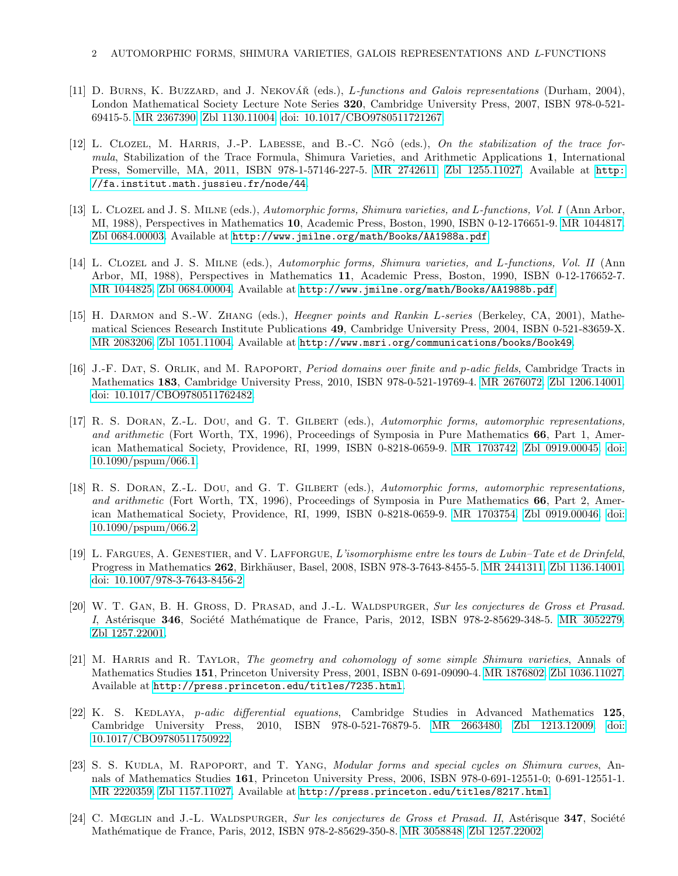- [11] D. BURNS, K. BUZZARD, and J. NEKOVÁŘ (eds.), L-functions and Galois representations (Durham, 2004), London Mathematical Society Lecture Note Series 320, Cambridge University Press, 2007, ISBN 978-0-521- 69415-5. [MR 2367390.](http://www.ams.org/mathscinet-getitem?mr=2367390) [Zbl 1130.11004.](http://www.zbmath.org/?q=an:1130.11004) [doi: 10.1017/CBO9780511721267.](http://dx.doi.org/10.1017/CBO9780511721267)
- [12] L. CLOZEL, M. HARRIS, J.-P. LABESSE, and B.-C. Ngô (eds.), On the stabilization of the trace formula, Stabilization of the Trace Formula, Shimura Varieties, and Arithmetic Applications 1, International Press, Somerville, MA, 2011, ISBN 978-1-57146-227-5. [MR 2742611.](http://www.ams.org/mathscinet-getitem?mr=2742611) [Zbl 1255.11027.](http://www.zbmath.org/?q=an:1255.11027) Available at [http:](http://fa.institut.math.jussieu.fr/node/44) [//fa.institut.math.jussieu.fr/node/44](http://fa.institut.math.jussieu.fr/node/44).
- [13] L. CLOZEL and J. S. MILNE (eds.), Automorphic forms, Shimura varieties, and L-functions, Vol. I (Ann Arbor, MI, 1988), Perspectives in Mathematics 10, Academic Press, Boston, 1990, ISBN 0-12-176651-9. [MR 1044817.](http://www.ams.org/mathscinet-getitem?mr=1044817) [Zbl 0684.00003.](http://www.zbmath.org/?q=an:0684.00003) Available at <http://www.jmilne.org/math/Books/AA1988a.pdf>.
- [14] L. Clozel and J. S. Milne (eds.), Automorphic forms, Shimura varieties, and L-functions, Vol. II (Ann Arbor, MI, 1988), Perspectives in Mathematics 11, Academic Press, Boston, 1990, ISBN 0-12-176652-7. [MR 1044825.](http://www.ams.org/mathscinet-getitem?mr=1044825) [Zbl 0684.00004.](http://www.zbmath.org/?q=an:0684.00004) Available at <http://www.jmilne.org/math/Books/AA1988b.pdf>.
- [15] H. DARMON and S.-W. ZHANG (eds.), *Heegner points and Rankin L-series* (Berkeley, CA, 2001), Mathematical Sciences Research Institute Publications 49, Cambridge University Press, 2004, ISBN 0-521-83659-X. [MR 2083206.](http://www.ams.org/mathscinet-getitem?mr=2083206) [Zbl 1051.11004.](http://www.zbmath.org/?q=an:1051.11004) Available at <http://www.msri.org/communications/books/Book49>.
- [16] J.-F. DAT, S. ORLIK, and M. RAPOPORT, *Period domains over finite and p-adic fields*, Cambridge Tracts in Mathematics 183, Cambridge University Press, 2010, ISBN 978-0-521-19769-4. [MR 2676072.](http://www.ams.org/mathscinet-getitem?mr=2676072) [Zbl 1206.14001.](http://www.zbmath.org/?q=an:1206.14001) [doi: 10.1017/CBO9780511762482.](http://dx.doi.org/10.1017/CBO9780511762482)
- [17] R. S. DORAN, Z.-L. DOU, and G. T. GILBERT (eds.), Automorphic forms, automorphic representations, and arithmetic (Fort Worth, TX, 1996), Proceedings of Symposia in Pure Mathematics 66, Part 1, American Mathematical Society, Providence, RI, 1999, ISBN 0-8218-0659-9. [MR 1703742.](http://www.ams.org/mathscinet-getitem?mr=1703742) [Zbl 0919.00045.](http://www.zbmath.org/?q=an:0919.00045) [doi:](http://dx.doi.org/10.1090/pspum/066.1) [10.1090/pspum/066.1.](http://dx.doi.org/10.1090/pspum/066.1)
- [18] R. S. DORAN, Z.-L. DOU, and G. T. GILBERT (eds.), Automorphic forms, automorphic representations, and arithmetic (Fort Worth, TX, 1996), Proceedings of Symposia in Pure Mathematics 66, Part 2, American Mathematical Society, Providence, RI, 1999, ISBN 0-8218-0659-9. [MR 1703754.](http://www.ams.org/mathscinet-getitem?mr=1703754) [Zbl 0919.00046.](http://www.zbmath.org/?q=an:0919.00046) [doi:](http://dx.doi.org/10.1090/pspum/066.2) [10.1090/pspum/066.2.](http://dx.doi.org/10.1090/pspum/066.2)
- [19] L. Fargues, A. Genestier, and V. Lafforgue, L'isomorphisme entre les tours de Lubin–Tate et de Drinfeld, Progress in Mathematics 262, Birkhäuser, Basel, 2008, ISBN 978-3-7643-8455-5. [MR 2441311.](http://www.ams.org/mathscinet-getitem?mr=2441311) [Zbl 1136.14001.](http://www.zbmath.org/?q=an:1136.14001) [doi: 10.1007/978-3-7643-8456-2.](http://dx.doi.org/10.1007/978-3-7643-8456-2)
- [20] W. T. GAN, B. H. GROSS, D. PRASAD, and J.-L. WALDSPURGER, Sur les conjectures de Gross et Prasad. I, Astérisque 346, Société Mathématique de France, Paris, 2012, ISBN 978-2-85629-348-5. [MR 3052279.](http://www.ams.org/mathscinet-getitem?mr=3052279) [Zbl 1257.22001.](http://www.zbmath.org/?q=an:1257.22001)
- [21] M. HARRIS and R. TAYLOR, *The geometry and cohomology of some simple Shimura varieties*, Annals of Mathematics Studies 151, Princeton University Press, 2001, ISBN 0-691-09090-4. [MR 1876802.](http://www.ams.org/mathscinet-getitem?mr=1876802) [Zbl 1036.11027.](http://www.zbmath.org/?q=an:1036.11027) Available at <http://press.princeton.edu/titles/7235.html>.
- [22] K. S. KEDLAYA, *p-adic differential equations*, Cambridge Studies in Advanced Mathematics 125, Cambridge University Press, 2010, ISBN 978-0-521-76879-5. [MR 2663480.](http://www.ams.org/mathscinet-getitem?mr=2663480) [Zbl 1213.12009.](http://www.zbmath.org/?q=an:1213.12009) [doi:](http://dx.doi.org/10.1017/CBO9780511750922) [10.1017/CBO9780511750922.](http://dx.doi.org/10.1017/CBO9780511750922)
- [23] S. S. KUDLA, M. RAPOPORT, and T. YANG, Modular forms and special cycles on Shimura curves, Annals of Mathematics Studies 161, Princeton University Press, 2006, ISBN 978-0-691-12551-0; 0-691-12551-1. [MR 2220359.](http://www.ams.org/mathscinet-getitem?mr=2220359) [Zbl 1157.11027.](http://www.zbmath.org/?q=an:1157.11027) Available at <http://press.princeton.edu/titles/8217.html>.
- [24] C. Mœglin and J.-L. WALDSPURGER, Sur les conjectures de Gross et Prasad. II, Astérisque 347, Société Mathématique de France, Paris, 2012, ISBN 978-2-85629-350-8. [MR 3058848.](http://www.ams.org/mathscinet-getitem?mr=3058848) [Zbl 1257.22002.](http://www.zbmath.org/?q=an:1257.22002)